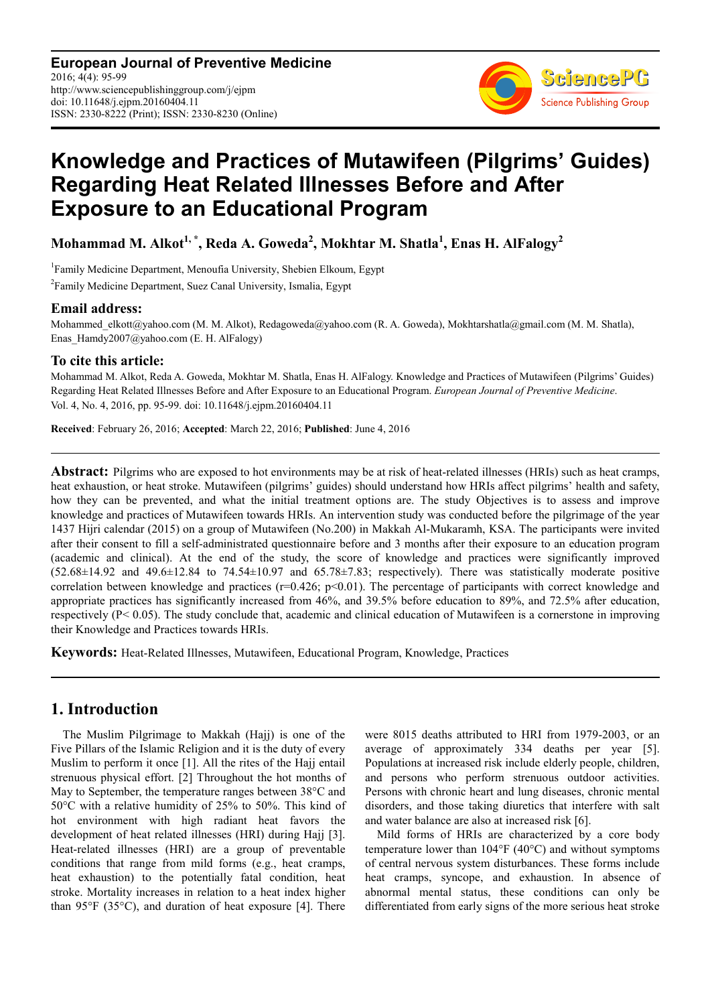**European Journal of Preventive Medicine** 2016; 4(4): 95-99 http://www.sciencepublishinggroup.com/j/ejpm doi: 10.11648/j.ejpm.20160404.11 ISSN: 2330-8222 (Print); ISSN: 2330-8230 (Online)



# **Knowledge and Practices of Mutawifeen (Pilgrims' Guides) Regarding Heat Related Illnesses Before and After Exposure to an Educational Program**

**Mohammad M. Alkot1, \*, Reda A. Goweda<sup>2</sup> , Mokhtar M. Shatla<sup>1</sup> , Enas H. AlFalogy<sup>2</sup>**

<sup>1</sup>Family Medicine Department, Menoufia University, Shebien Elkoum, Egypt <sup>2</sup> Family Medicine Department, Suez Canal University, Ismalia, Egypt

#### **Email address:**

Mohammed elkott@yahoo.com (M. M. Alkot), Redagoweda@yahoo.com (R. A. Goweda), Mokhtarshatla@gmail.com (M. M. Shatla), Enas\_Hamdy2007@yahoo.com (E. H. AlFalogy)

#### **To cite this article:**

Mohammad M. Alkot, Reda A. Goweda, Mokhtar M. Shatla, Enas H. AlFalogy. Knowledge and Practices of Mutawifeen (Pilgrims' Guides) Regarding Heat Related Illnesses Before and After Exposure to an Educational Program. *European Journal of Preventive Medicine*. Vol. 4, No. 4, 2016, pp. 95-99. doi: 10.11648/j.ejpm.20160404.11

**Received**: February 26, 2016; **Accepted**: March 22, 2016; **Published**: June 4, 2016

**Abstract:** Pilgrims who are exposed to hot environments may be at risk of heat-related illnesses (HRIs) such as heat cramps, heat exhaustion, or heat stroke. Mutawifeen (pilgrims' guides) should understand how HRIs affect pilgrims' health and safety, how they can be prevented, and what the initial treatment options are. The study Objectives is to assess and improve knowledge and practices of Mutawifeen towards HRIs. An intervention study was conducted before the pilgrimage of the year 1437 Hijri calendar (2015) on a group of Mutawifeen (No.200) in Makkah Al-Mukaramh, KSA. The participants were invited after their consent to fill a self-administrated questionnaire before and 3 months after their exposure to an education program (academic and clinical). At the end of the study, the score of knowledge and practices were significantly improved  $(52.68\pm14.92$  and  $49.6\pm12.84$  to  $74.54\pm10.97$  and  $65.78\pm7.83$ ; respectively). There was statistically moderate positive correlation between knowledge and practices ( $r=0.426$ ;  $p<0.01$ ). The percentage of participants with correct knowledge and appropriate practices has significantly increased from 46%, and 39.5% before education to 89%, and 72.5% after education, respectively (P< 0.05). The study conclude that, academic and clinical education of Mutawifeen is a cornerstone in improving their Knowledge and Practices towards HRIs.

**Keywords:** Heat-Related Illnesses, Mutawifeen, Educational Program, Knowledge, Practices

## **1. Introduction**

The Muslim Pilgrimage to Makkah (Hajj) is one of the Five Pillars of the Islamic Religion and it is the duty of every Muslim to perform it once [1]. All the rites of the Hajj entail strenuous physical effort. [2] Throughout the hot months of May to September, the temperature ranges between 38°C and 50°C with a relative humidity of 25% to 50%. This kind of hot environment with high radiant heat favors the development of heat related illnesses (HRI) during Hajj [3]. Heat-related illnesses (HRI) are a group of preventable conditions that range from mild forms (e.g., heat cramps, heat exhaustion) to the potentially fatal condition, heat stroke. Mortality increases in relation to a heat index higher than 95°F (35°C), and duration of heat exposure [4]. There

were 8015 deaths attributed to HRI from 1979-2003, or an average of approximately 334 deaths per year [5]. Populations at increased risk include elderly people, children, and persons who perform strenuous outdoor activities. Persons with chronic heart and lung diseases, chronic mental disorders, and those taking diuretics that interfere with salt and water balance are also at increased risk [6].

Mild forms of HRIs are characterized by a core body temperature lower than 104°F (40°C) and without symptoms of central nervous system disturbances. These forms include heat cramps, syncope, and exhaustion. In absence of abnormal mental status, these conditions can only be differentiated from early signs of the more serious heat stroke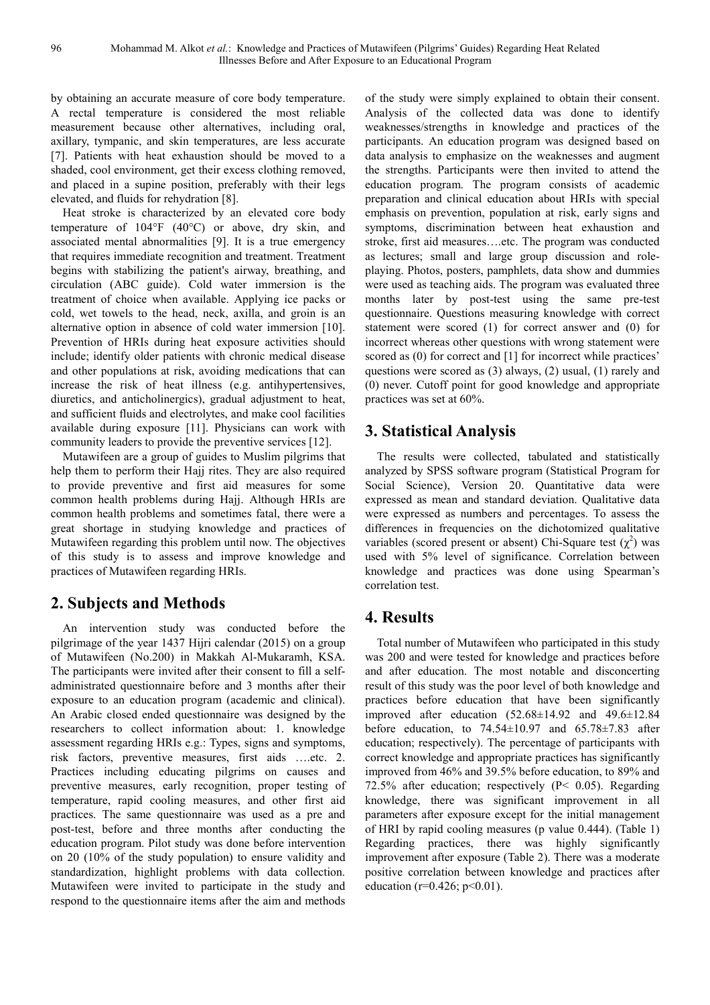by obtaining an accurate measure of core body temperature. A rectal temperature is considered the most reliable measurement because other alternatives, including oral, axillary, tympanic, and skin temperatures, are less accurate [7]. Patients with heat exhaustion should be moved to a shaded, cool environment, get their excess clothing removed, and placed in a supine position, preferably with their legs elevated, and fluids for rehydration [8].

Heat stroke is characterized by an elevated core body temperature of 104°F (40°C) or above, dry skin, and associated mental abnormalities [9]. It is a true emergency that requires immediate recognition and treatment. Treatment begins with stabilizing the patient's airway, breathing, and circulation (ABC guide). Cold water immersion is the treatment of choice when available. Applying ice packs or cold, wet towels to the head, neck, axilla, and groin is an alternative option in absence of cold water immersion [10]. Prevention of HRIs during heat exposure activities should include; identify older patients with chronic medical disease and other populations at risk, avoiding medications that can increase the risk of heat illness (e.g. antihypertensives, diuretics, and anticholinergics), gradual adjustment to heat, and sufficient fluids and electrolytes, and make cool facilities available during exposure [11]. Physicians can work with community leaders to provide the preventive services [12].

Mutawifeen are a group of guides to Muslim pilgrims that help them to perform their Hajj rites. They are also required to provide preventive and first aid measures for some common health problems during Hajj. Although HRIs are common health problems and sometimes fatal, there were a great shortage in studying knowledge and practices of Mutawifeen regarding this problem until now. The objectives of this study is to assess and improve knowledge and practices of Mutawifeen regarding HRIs.

## **2. Subjects and Methods**

An intervention study was conducted before the pilgrimage of the year 1437 Hijri calendar (2015) on a group of Mutawifeen (No.200) in Makkah Al-Mukaramh, KSA. The participants were invited after their consent to fill a selfadministrated questionnaire before and 3 months after their exposure to an education program (academic and clinical). An Arabic closed ended questionnaire was designed by the researchers to collect information about: 1. knowledge assessment regarding HRIs e.g.: Types, signs and symptoms, risk factors, preventive measures, first aids ….etc. 2. Practices including educating pilgrims on causes and preventive measures, early recognition, proper testing of temperature, rapid cooling measures, and other first aid practices. The same questionnaire was used as a pre and post-test, before and three months after conducting the education program. Pilot study was done before intervention on 20 (10% of the study population) to ensure validity and standardization, highlight problems with data collection. Mutawifeen were invited to participate in the study and respond to the questionnaire items after the aim and methods of the study were simply explained to obtain their consent. Analysis of the collected data was done to identify weaknesses/strengths in knowledge and practices of the participants. An education program was designed based on data analysis to emphasize on the weaknesses and augment the strengths. Participants were then invited to attend the education program. The program consists of academic preparation and clinical education about HRIs with special emphasis on prevention, population at risk, early signs and symptoms, discrimination between heat exhaustion and stroke, first aid measures….etc. The program was conducted as lectures; small and large group discussion and roleplaying. Photos, posters, pamphlets, data show and dummies were used as teaching aids. The program was evaluated three months later by post-test using the same pre-test questionnaire. Questions measuring knowledge with correct statement were scored (1) for correct answer and (0) for incorrect whereas other questions with wrong statement were scored as (0) for correct and [1] for incorrect while practices' questions were scored as (3) always, (2) usual, (1) rarely and (0) never. Cutoff point for good knowledge and appropriate practices was set at 60%.

# **3. Statistical Analysis**

The results were collected, tabulated and statistically analyzed by SPSS software program (Statistical Program for Social Science), Version 20. Quantitative data were expressed as mean and standard deviation. Qualitative data were expressed as numbers and percentages. To assess the differences in frequencies on the dichotomized qualitative variables (scored present or absent) Chi-Square test  $(\chi^2)$  was used with 5% level of significance. Correlation between knowledge and practices was done using Spearman's correlation test.

# **4. Results**

Total number of Mutawifeen who participated in this study was 200 and were tested for knowledge and practices before and after education. The most notable and disconcerting result of this study was the poor level of both knowledge and practices before education that have been significantly improved after education (52.68±14.92 and 49.6±12.84 before education, to  $74.54 \pm 10.97$  and  $65.78 \pm 7.83$  after education; respectively). The percentage of participants with correct knowledge and appropriate practices has significantly improved from 46% and 39.5% before education, to 89% and 72.5% after education; respectively (P< 0.05). Regarding knowledge, there was significant improvement in all parameters after exposure except for the initial management of HRI by rapid cooling measures (p value 0.444). (Table 1) Regarding practices, there was highly significantly improvement after exposure (Table 2). There was a moderate positive correlation between knowledge and practices after education ( $r=0.426$ ;  $p<0.01$ ).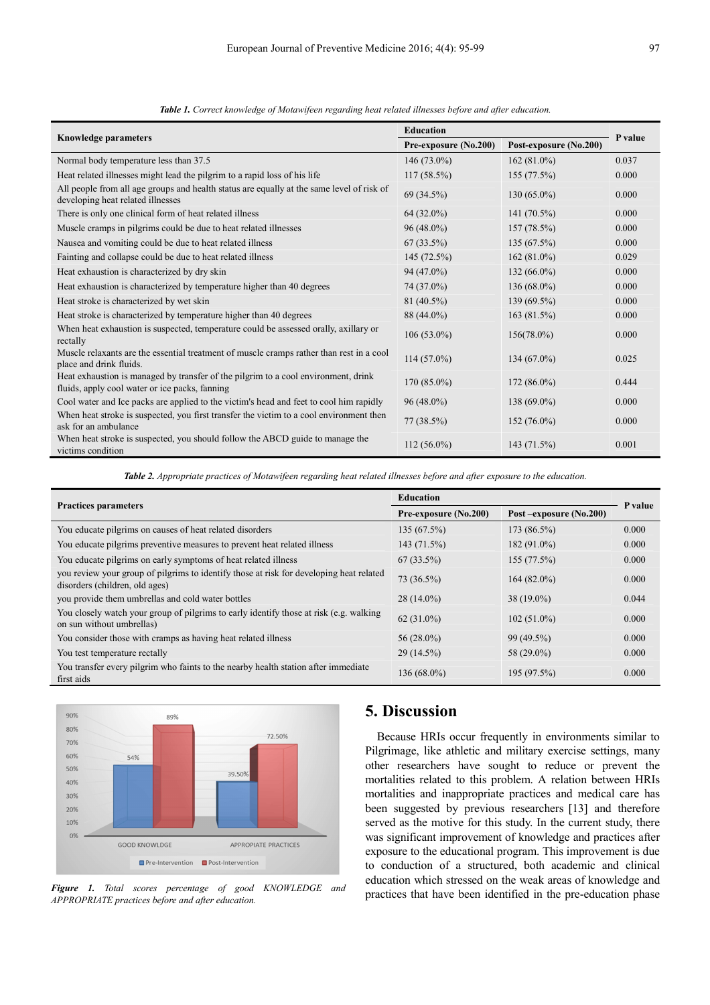| <b>Knowledge parameters</b>                                                                                                          | <b>Education</b>      |                        | P value |
|--------------------------------------------------------------------------------------------------------------------------------------|-----------------------|------------------------|---------|
|                                                                                                                                      | Pre-exposure (No.200) | Post-exposure (No.200) |         |
| Normal body temperature less than 37.5                                                                                               | $146(73.0\%)$         | $162(81.0\%)$          | 0.037   |
| Heat related illnesses might lead the pilgrim to a rapid loss of his life                                                            | $117(58.5\%)$         | 155(77.5%)             | 0.000   |
| All people from all age groups and health status are equally at the same level of risk of<br>developing heat related illnesses       | 69 (34.5%)            | $130(65.0\%)$          | 0.000   |
| There is only one clinical form of heat related illness                                                                              | 64 (32.0%)            | 141 $(70.5\%)$         | 0.000   |
| Muscle cramps in pilgrims could be due to heat related illnesses                                                                     | $96(48.0\%)$          | 157(78.5%)             | 0.000   |
| Nausea and vomiting could be due to heat related illness                                                                             | 67(33.5%)             | 135(67.5%)             | 0.000   |
| Fainting and collapse could be due to heat related illness                                                                           | 145(72.5%)            | $162(81.0\%)$          | 0.029   |
| Heat exhaustion is characterized by dry skin                                                                                         | 94 (47.0%)            | $132(66.0\%)$          | 0.000   |
| Heat exhaustion is characterized by temperature higher than 40 degrees                                                               | 74 (37.0%)            | $136(68.0\%)$          | 0.000   |
| Heat stroke is characterized by wet skin                                                                                             | 81 (40.5%)            | 139 (69.5%)            | 0.000   |
| Heat stroke is characterized by temperature higher than 40 degrees                                                                   | 88 (44.0%)            | 163(81.5%)             | 0.000   |
| When heat exhaustion is suspected, temperature could be assessed orally, axillary or<br>rectally                                     | $106(53.0\%)$         | $156(78.0\%)$          | 0.000   |
| Muscle relaxants are the essential treatment of muscle cramps rather than rest in a cool<br>place and drink fluids.                  | $114(57.0\%)$         | $134(67.0\%)$          | 0.025   |
| Heat exhaustion is managed by transfer of the pilgrim to a cool environment, drink<br>fluids, apply cool water or ice packs, fanning | $170(85.0\%)$         | $172(86.0\%)$          | 0.444   |
| Cool water and Ice packs are applied to the victim's head and feet to cool him rapidly                                               | $96(48.0\%)$          | 138 (69.0%)            | 0.000   |
| When heat stroke is suspected, you first transfer the victim to a cool environment then<br>ask for an ambulance                      | $77(38.5\%)$          | $152(76.0\%)$          | 0.000   |
| When heat stroke is suspected, you should follow the ABCD guide to manage the<br>victims condition                                   | $112(56.0\%)$         | 143 (71.5%)            | 0.001   |

*Table 1. Correct knowledge of Motawifeen regarding heat related illnesses before and after education.* 

*Table 2. Appropriate practices of Motawifeen regarding heat related illnesses before and after exposure to the education.* 

| <b>Practices parameters</b>                                                                                               | <b>Education</b>      |                        |         |
|---------------------------------------------------------------------------------------------------------------------------|-----------------------|------------------------|---------|
|                                                                                                                           | Pre-exposure (No.200) | Post-exposure (No.200) | P value |
| You educate pilgrims on causes of heat related disorders                                                                  | 135 (67.5%)           | 173 (86.5%)            | 0.000   |
| You educate pilgrims preventive measures to prevent heat related illness                                                  | 143 (71.5%)           | $182(91.0\%)$          | 0.000   |
| You educate pilgrims on early symptoms of heat related illness                                                            | $67(33.5\%)$          | 155 (77.5%)            | 0.000   |
| you review your group of pilgrims to identify those at risk for developing heat related<br>disorders (children, old ages) | 73 (36.5%)            | $164(82.0\%)$          | 0.000   |
| you provide them umbrellas and cold water bottles                                                                         | $28(14.0\%)$          | 38 (19.0%)             | 0.044   |
| You closely watch your group of pilgrims to early identify those at risk (e.g. walking<br>on sun without umbrellas)       | $62(31.0\%)$          | $102(51.0\%)$          | 0.000   |
| You consider those with cramps as having heat related illness                                                             | $56(28.0\%)$          | 99(49.5%)              | 0.000   |
| You test temperature rectally                                                                                             | $29(14.5\%)$          | 58 (29.0%)             | 0.000   |
| You transfer every pilgrim who faints to the nearby health station after immediate<br>first aids                          | 136 (68.0%)           | 195 (97.5%)            | 0.000   |



*Figure 1. Total scores percentage of good KNOWLEDGE and APPROPRIATE practices before and after education.* 

#### **5. Discussion**

Because HRIs occur frequently in environments similar to Pilgrimage, like athletic and military exercise settings, many other researchers have sought to reduce or prevent the mortalities related to this problem. A relation between HRIs mortalities and inappropriate practices and medical care has been suggested by previous researchers [13] and therefore served as the motive for this study. In the current study, there was significant improvement of knowledge and practices after exposure to the educational program. This improvement is due to conduction of a structured, both academic and clinical education which stressed on the weak areas of knowledge and practices that have been identified in the pre-education phase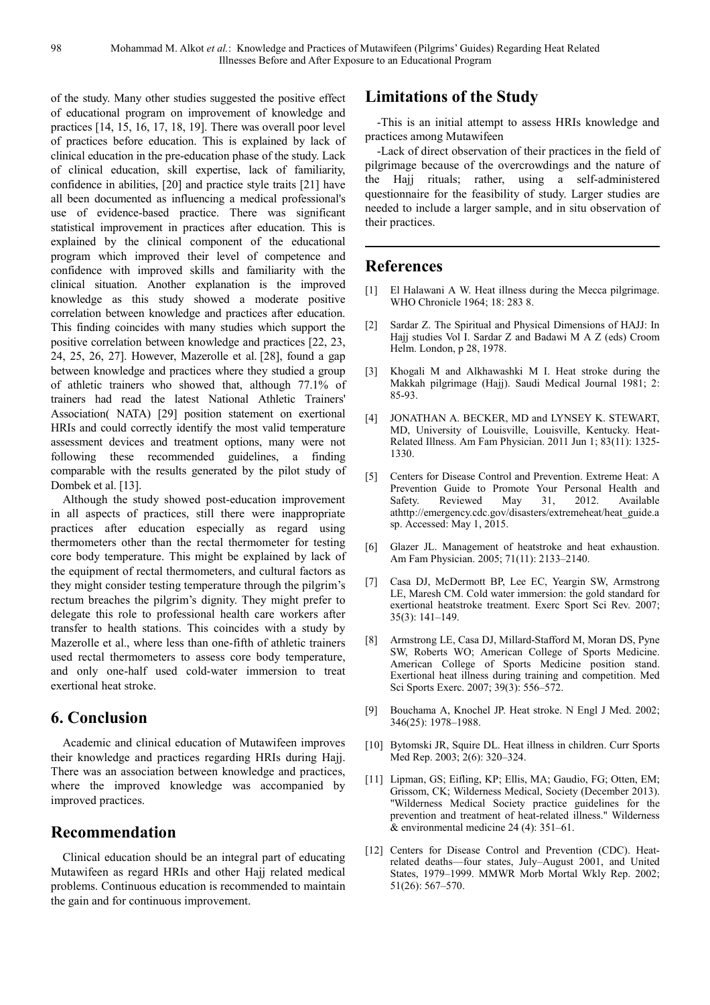of the study. Many other studies suggested the positive effect of educational program on improvement of knowledge and practices [14, 15, 16, 17, 18, 19]. There was overall poor level of practices before education. This is explained by lack of clinical education in the pre-education phase of the study. Lack of clinical education, skill expertise, lack of familiarity, confidence in abilities, [20] and practice style traits [21] have all been documented as influencing a medical professional's use of evidence-based practice. There was significant statistical improvement in practices after education. This is explained by the clinical component of the educational program which improved their level of competence and confidence with improved skills and familiarity with the clinical situation. Another explanation is the improved knowledge as this study showed a moderate positive correlation between knowledge and practices after education. This finding coincides with many studies which support the positive correlation between knowledge and practices [22, 23, 24, 25, 26, 27]. However, Mazerolle et al. [28], found a gap between knowledge and practices where they studied a group of athletic trainers who showed that, although 77.1% of trainers had read the latest National Athletic Trainers' Association( NATA) [29] position statement on exertional HRIs and could correctly identify the most valid temperature assessment devices and treatment options, many were not following these recommended guidelines, a finding comparable with the results generated by the pilot study of Dombek et al. [13].

Although the study showed post-education improvement in all aspects of practices, still there were inappropriate practices after education especially as regard using thermometers other than the rectal thermometer for testing core body temperature. This might be explained by lack of the equipment of rectal thermometers, and cultural factors as they might consider testing temperature through the pilgrim's rectum breaches the pilgrim's dignity. They might prefer to delegate this role to professional health care workers after transfer to health stations. This coincides with a study by Mazerolle et al., where less than one-fifth of athletic trainers used rectal thermometers to assess core body temperature, and only one-half used cold-water immersion to treat exertional heat stroke.

## **6. Conclusion**

Academic and clinical education of Mutawifeen improves their knowledge and practices regarding HRIs during Hajj. There was an association between knowledge and practices, where the improved knowledge was accompanied by improved practices.

# **Recommendation**

Clinical education should be an integral part of educating Mutawifeen as regard HRIs and other Hajj related medical problems. Continuous education is recommended to maintain the gain and for continuous improvement.

# **Limitations of the Study**

-This is an initial attempt to assess HRIs knowledge and practices among Mutawifeen

-Lack of direct observation of their practices in the field of pilgrimage because of the overcrowdings and the nature of the Hajj rituals; rather, using a self-administered questionnaire for the feasibility of study. Larger studies are needed to include a larger sample, and in situ observation of their practices.

# **References**

- [1] El Halawani A W. Heat illness during the Mecca pilgrimage. WHO Chronicle 1964; 18: 283 8.
- [2] Sardar Z. The Spiritual and Physical Dimensions of HAJJ: In Hajj studies Vol I. Sardar Z and Badawi M A Z (eds) Croom Helm. London, p 28, 1978.
- [3] Khogali M and Alkhawashki M I. Heat stroke during the Makkah pilgrimage (Hajj). Saudi Medical Journal 1981; 2: 85-93.
- [4] JONATHAN A. BECKER, MD and LYNSEY K. STEWART, MD, University of Louisville, Louisville, Kentucky. Heat-Related Illness. Am Fam Physician. 2011 Jun 1; 83(11): 1325- 1330.
- [5] Centers for Disease Control and Prevention. Extreme Heat: A Prevention Guide to Promote Your Personal Health and Safety. Reviewed May 31, 2012. Available athttp://emergency.cdc.gov/disasters/extremeheat/heat\_guide.a sp. Accessed: May 1, 2015.
- [6] Glazer JL. Management of heatstroke and heat exhaustion. Am Fam Physician. 2005; 71(11): 2133–2140.
- [7] Casa DJ, McDermott BP, Lee EC, Yeargin SW, Armstrong LE, Maresh CM. Cold water immersion: the gold standard for exertional heatstroke treatment. Exerc Sport Sci Rev. 2007; 35(3): 141–149.
- [8] Armstrong LE, Casa DJ, Millard-Stafford M, Moran DS, Pyne SW, Roberts WO; American College of Sports Medicine. American College of Sports Medicine position stand. Exertional heat illness during training and competition. Med Sci Sports Exerc. 2007; 39(3): 556–572.
- [9] Bouchama A, Knochel JP. Heat stroke. N Engl J Med. 2002; 346(25): 1978–1988.
- [10] Bytomski JR, Squire DL. Heat illness in children. Curr Sports Med Rep. 2003; 2(6): 320–324.
- [11] Lipman, GS; Eifling, KP; Ellis, MA; Gaudio, FG; Otten, EM; Grissom, CK; Wilderness Medical, Society (December 2013). "Wilderness Medical Society practice guidelines for the prevention and treatment of heat-related illness." Wilderness & environmental medicine 24 (4): 351–61.
- [12] Centers for Disease Control and Prevention (CDC). Heatrelated deaths—four states, July–August 2001, and United States, 1979–1999. MMWR Morb Mortal Wkly Rep. 2002; 51(26): 567–570.